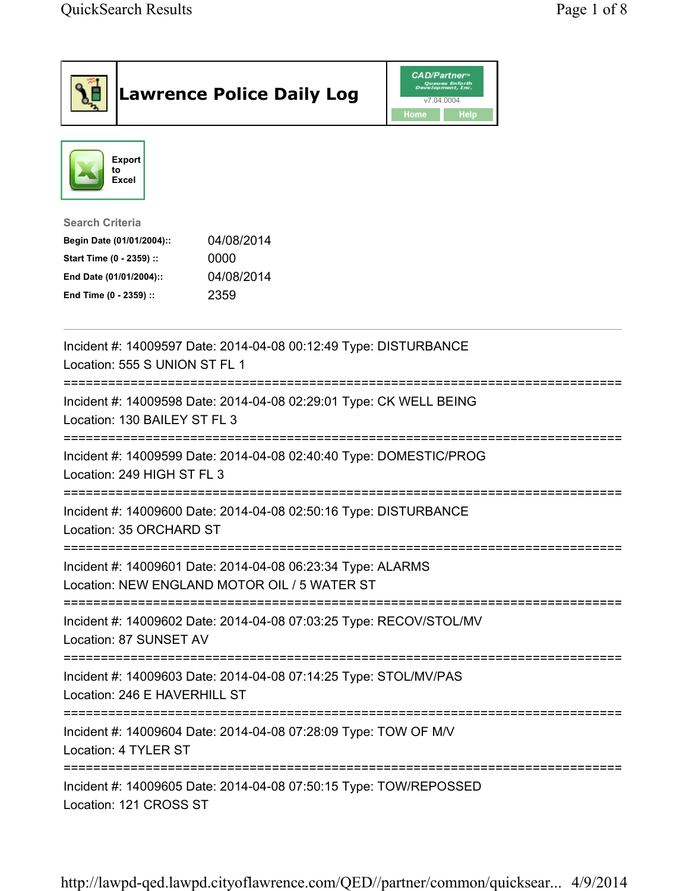| <b>Lawrence Police Daily Log</b>                                                                                                                                                 | CAD/Partner™<br>Queues Enforth<br>Development, Inc.<br>v7.04.0004<br><b>Home</b><br><b>Help</b> |
|----------------------------------------------------------------------------------------------------------------------------------------------------------------------------------|-------------------------------------------------------------------------------------------------|
| Export<br>to<br>Excel                                                                                                                                                            |                                                                                                 |
| <b>Search Criteria</b><br>04/08/2014<br>Begin Date (01/01/2004)::<br>0000<br>Start Time (0 - 2359) ::<br>04/08/2014<br>End Date (01/01/2004)::<br>2359<br>End Time (0 - 2359) :: |                                                                                                 |
| Incident #: 14009597 Date: 2014-04-08 00:12:49 Type: DISTURBANCE<br>Location: 555 S UNION ST FL 1                                                                                |                                                                                                 |
| Incident #: 14009598 Date: 2014-04-08 02:29:01 Type: CK WELL BEING<br>Location: 130 BAILEY ST FL 3                                                                               |                                                                                                 |
| Incident #: 14009599 Date: 2014-04-08 02:40:40 Type: DOMESTIC/PROG<br>Location: 249 HIGH ST FL 3                                                                                 |                                                                                                 |
| Incident #: 14009600 Date: 2014-04-08 02:50:16 Type: DISTURBANCE<br>Location: 35 ORCHARD ST                                                                                      |                                                                                                 |
| Incident #: 14009601 Date: 2014-04-08 06:23:34 Type: ALARMS<br>Location: NEW ENGLAND MOTOR OIL / 5 WATER ST                                                                      |                                                                                                 |
| Incident #: 14009602 Date: 2014-04-08 07:03:25 Type: RECOV/STOL/MV<br>Location: 87 SUNSET AV                                                                                     |                                                                                                 |
| Incident #: 14009603 Date: 2014-04-08 07:14:25 Type: STOL/MV/PAS<br>Location: 246 E HAVERHILL ST                                                                                 |                                                                                                 |
| Incident #: 14009604 Date: 2014-04-08 07:28:09 Type: TOW OF M/V<br>Location: 4 TYLER ST                                                                                          |                                                                                                 |
| Incident #: 14009605 Date: 2014-04-08 07:50:15 Type: TOW/REPOSSED<br>Location: 121 CROSS ST                                                                                      |                                                                                                 |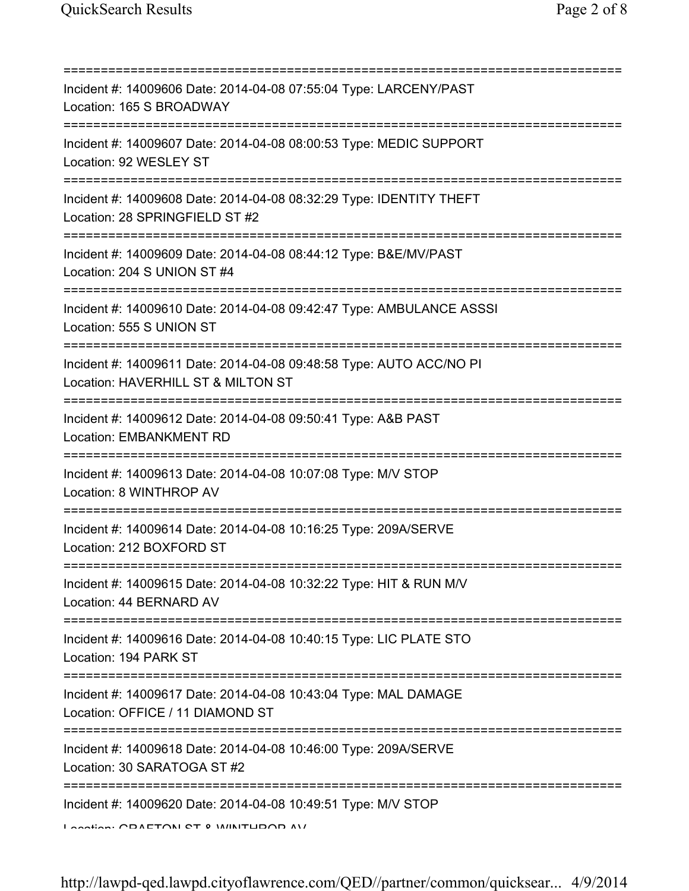| Incident #: 14009606 Date: 2014-04-08 07:55:04 Type: LARCENY/PAST<br>Location: 165 S BROADWAY                                        |
|--------------------------------------------------------------------------------------------------------------------------------------|
| Incident #: 14009607 Date: 2014-04-08 08:00:53 Type: MEDIC SUPPORT<br>Location: 92 WESLEY ST                                         |
| Incident #: 14009608 Date: 2014-04-08 08:32:29 Type: IDENTITY THEFT<br>Location: 28 SPRINGFIELD ST #2                                |
| Incident #: 14009609 Date: 2014-04-08 08:44:12 Type: B&E/MV/PAST<br>Location: 204 S UNION ST #4                                      |
| Incident #: 14009610 Date: 2014-04-08 09:42:47 Type: AMBULANCE ASSSI<br>Location: 555 S UNION ST                                     |
| Incident #: 14009611 Date: 2014-04-08 09:48:58 Type: AUTO ACC/NO PI<br>Location: HAVERHILL ST & MILTON ST<br>;====================== |
| Incident #: 14009612 Date: 2014-04-08 09:50:41 Type: A&B PAST<br>Location: EMBANKMENT RD<br>================================         |
| Incident #: 14009613 Date: 2014-04-08 10:07:08 Type: M/V STOP<br>Location: 8 WINTHROP AV                                             |
| Incident #: 14009614 Date: 2014-04-08 10:16:25 Type: 209A/SERVE<br>Location: 212 BOXFORD ST                                          |
| Incident #: 14009615 Date: 2014-04-08 10:32:22 Type: HIT & RUN M/V<br>Location: 44 BERNARD AV                                        |
| Incident #: 14009616 Date: 2014-04-08 10:40:15 Type: LIC PLATE STO<br>Location: 194 PARK ST                                          |
| Incident #: 14009617 Date: 2014-04-08 10:43:04 Type: MAL DAMAGE<br>Location: OFFICE / 11 DIAMOND ST                                  |
| ===============================<br>Incident #: 14009618 Date: 2014-04-08 10:46:00 Type: 209A/SERVE<br>Location: 30 SARATOGA ST #2    |
| Incident #: 14009620 Date: 2014-04-08 10:49:51 Type: M/V STOP<br>Location: CDAETONI CT 0 IMINITUDOD AV                               |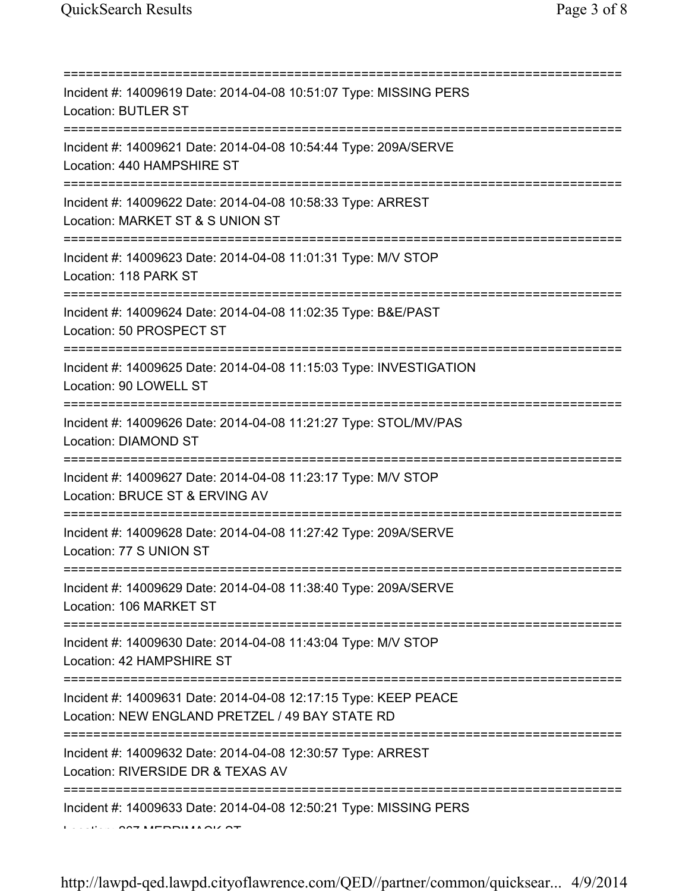| ==========================                                                                                                                                                                                                                                                                                                                                                                                                                                                                                                                                               |
|--------------------------------------------------------------------------------------------------------------------------------------------------------------------------------------------------------------------------------------------------------------------------------------------------------------------------------------------------------------------------------------------------------------------------------------------------------------------------------------------------------------------------------------------------------------------------|
| Incident #: 14009619 Date: 2014-04-08 10:51:07 Type: MISSING PERS<br><b>Location: BUTLER ST</b>                                                                                                                                                                                                                                                                                                                                                                                                                                                                          |
| Incident #: 14009621 Date: 2014-04-08 10:54:44 Type: 209A/SERVE<br>Location: 440 HAMPSHIRE ST                                                                                                                                                                                                                                                                                                                                                                                                                                                                            |
| Incident #: 14009622 Date: 2014-04-08 10:58:33 Type: ARREST<br>Location: MARKET ST & S UNION ST<br>======================                                                                                                                                                                                                                                                                                                                                                                                                                                                |
| Incident #: 14009623 Date: 2014-04-08 11:01:31 Type: M/V STOP<br>Location: 118 PARK ST                                                                                                                                                                                                                                                                                                                                                                                                                                                                                   |
| Incident #: 14009624 Date: 2014-04-08 11:02:35 Type: B&E/PAST<br>Location: 50 PROSPECT ST                                                                                                                                                                                                                                                                                                                                                                                                                                                                                |
| Incident #: 14009625 Date: 2014-04-08 11:15:03 Type: INVESTIGATION<br>Location: 90 LOWELL ST<br>================================                                                                                                                                                                                                                                                                                                                                                                                                                                         |
| Incident #: 14009626 Date: 2014-04-08 11:21:27 Type: STOL/MV/PAS<br>Location: DIAMOND ST                                                                                                                                                                                                                                                                                                                                                                                                                                                                                 |
| Incident #: 14009627 Date: 2014-04-08 11:23:17 Type: M/V STOP<br>Location: BRUCE ST & ERVING AV                                                                                                                                                                                                                                                                                                                                                                                                                                                                          |
| Incident #: 14009628 Date: 2014-04-08 11:27:42 Type: 209A/SERVE<br>Location: 77 S UNION ST                                                                                                                                                                                                                                                                                                                                                                                                                                                                               |
| Incident #: 14009629 Date: 2014-04-08 11:38:40 Type: 209A/SERVE<br>Location: 106 MARKET ST                                                                                                                                                                                                                                                                                                                                                                                                                                                                               |
| Incident #: 14009630 Date: 2014-04-08 11:43:04 Type: M/V STOP<br>Location: 42 HAMPSHIRE ST                                                                                                                                                                                                                                                                                                                                                                                                                                                                               |
| Incident #: 14009631 Date: 2014-04-08 12:17:15 Type: KEEP PEACE<br>Location: NEW ENGLAND PRETZEL / 49 BAY STATE RD                                                                                                                                                                                                                                                                                                                                                                                                                                                       |
| Incident #: 14009632 Date: 2014-04-08 12:30:57 Type: ARREST<br>Location: RIVERSIDE DR & TEXAS AV                                                                                                                                                                                                                                                                                                                                                                                                                                                                         |
| =====================================<br>Incident #: 14009633 Date: 2014-04-08 12:50:21 Type: MISSING PERS<br>$\begin{array}{c} \n\sqrt{2} \\ \sqrt{2} \\ \sqrt{2} \\ \sqrt{2} \\ \sqrt{2} \\ \sqrt{2} \\ \sqrt{2} \\ \sqrt{2} \\ \sqrt{2} \\ \sqrt{2} \\ \sqrt{2} \\ \sqrt{2} \\ \sqrt{2} \\ \sqrt{2} \\ \sqrt{2} \\ \sqrt{2} \\ \sqrt{2} \\ \sqrt{2} \\ \sqrt{2} \\ \sqrt{2} \\ \sqrt{2} \\ \sqrt{2} \\ \sqrt{2} \\ \sqrt{2} \\ \sqrt{2} \\ \sqrt{2} \\ \sqrt{2} \\ \sqrt{2} \\ \sqrt{2} \\ \sqrt{2} \\ \sqrt{2} \\ \sqrt{2} \\ \sqrt{2} \\ \sqrt{2} \\ \sqrt{2} \\ \$ |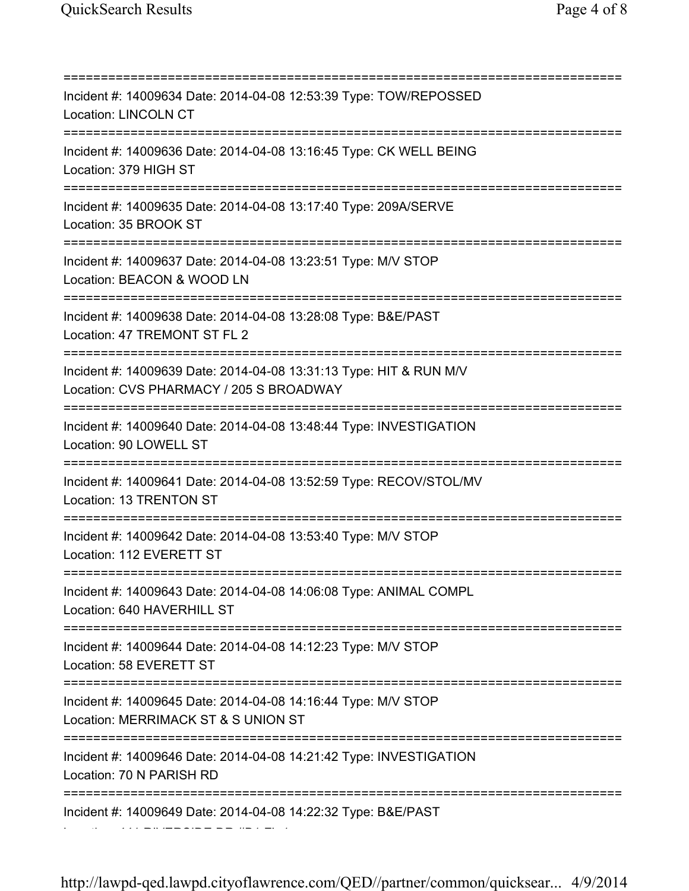=========================================================================== Incident #: 14009634 Date: 2014-04-08 12:53:39 Type: TOW/REPOSSED Location: LINCOLN CT =========================================================================== Incident #: 14009636 Date: 2014-04-08 13:16:45 Type: CK WELL BEING Location: 379 HIGH ST =========================================================================== Incident #: 14009635 Date: 2014-04-08 13:17:40 Type: 209A/SERVE Location: 35 BROOK ST =========================================================================== Incident #: 14009637 Date: 2014-04-08 13:23:51 Type: M/V STOP Location: BEACON & WOOD LN =========================================================================== Incident #: 14009638 Date: 2014-04-08 13:28:08 Type: B&E/PAST Location: 47 TREMONT ST FL 2 =========================================================================== Incident #: 14009639 Date: 2014-04-08 13:31:13 Type: HIT & RUN M/V Location: CVS PHARMACY / 205 S BROADWAY =========================================================================== Incident #: 14009640 Date: 2014-04-08 13:48:44 Type: INVESTIGATION Location: 90 LOWELL ST =========================================================================== Incident #: 14009641 Date: 2014-04-08 13:52:59 Type: RECOV/STOL/MV Location: 13 TRENTON ST =========================================================================== Incident #: 14009642 Date: 2014-04-08 13:53:40 Type: M/V STOP Location: 112 EVERETT ST =========================================================================== Incident #: 14009643 Date: 2014-04-08 14:06:08 Type: ANIMAL COMPL Location: 640 HAVERHILL ST =========================================================================== Incident #: 14009644 Date: 2014-04-08 14:12:23 Type: M/V STOP Location: 58 EVERETT ST =========================================================================== Incident #: 14009645 Date: 2014-04-08 14:16:44 Type: M/V STOP Location: MERRIMACK ST & S UNION ST =========================================================================== Incident #: 14009646 Date: 2014-04-08 14:21:42 Type: INVESTIGATION Location: 70 N PARISH RD =========================================================================== Incident #: 14009649 Date: 2014-04-08 14:22:32 Type: B&E/PAST

http://lawpd-qed.lawpd.cityoflawrence.com/QED//partner/common/quicksear... 4/9/2014

Location: 441 RIVERSIDE DR #B1 FL 1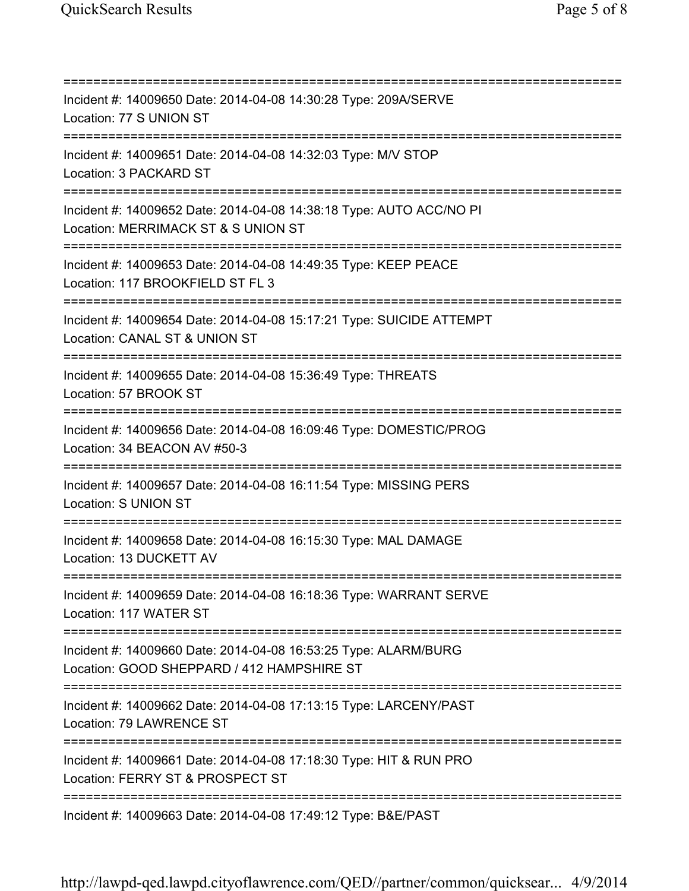=========================================================================== Incident #: 14009650 Date: 2014-04-08 14:30:28 Type: 209A/SERVE Location: 77 S UNION ST =========================================================================== Incident #: 14009651 Date: 2014-04-08 14:32:03 Type: M/V STOP Location: 3 PACKARD ST =========================================================================== Incident #: 14009652 Date: 2014-04-08 14:38:18 Type: AUTO ACC/NO PI Location: MERRIMACK ST & S UNION ST =========================================================================== Incident #: 14009653 Date: 2014-04-08 14:49:35 Type: KEEP PEACE Location: 117 BROOKFIELD ST FL 3 =========================================================================== Incident #: 14009654 Date: 2014-04-08 15:17:21 Type: SUICIDE ATTEMPT Location: CANAL ST & UNION ST =========================================================================== Incident #: 14009655 Date: 2014-04-08 15:36:49 Type: THREATS Location: 57 BROOK ST =========================================================================== Incident #: 14009656 Date: 2014-04-08 16:09:46 Type: DOMESTIC/PROG Location: 34 BEACON AV #50-3 =========================================================================== Incident #: 14009657 Date: 2014-04-08 16:11:54 Type: MISSING PERS Location: S UNION ST =========================================================================== Incident #: 14009658 Date: 2014-04-08 16:15:30 Type: MAL DAMAGE Location: 13 DUCKETT AV =========================================================================== Incident #: 14009659 Date: 2014-04-08 16:18:36 Type: WARRANT SERVE Location: 117 WATER ST =========================================================================== Incident #: 14009660 Date: 2014-04-08 16:53:25 Type: ALARM/BURG Location: GOOD SHEPPARD / 412 HAMPSHIRE ST =========================================================================== Incident #: 14009662 Date: 2014-04-08 17:13:15 Type: LARCENY/PAST Location: 79 LAWRENCE ST =========================================================================== Incident #: 14009661 Date: 2014-04-08 17:18:30 Type: HIT & RUN PRO Location: FERRY ST & PROSPECT ST =========================================================================== Incident #: 14009663 Date: 2014-04-08 17:49:12 Type: B&E/PAST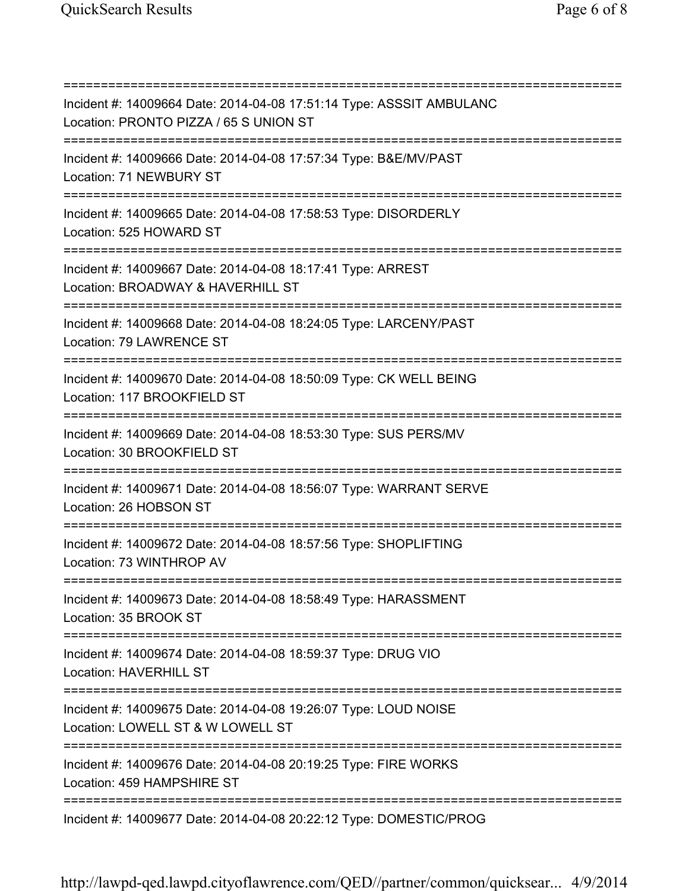=========================================================================== Incident #: 14009664 Date: 2014-04-08 17:51:14 Type: ASSSIT AMBULANC Location: PRONTO PIZZA / 65 S UNION ST =========================================================================== Incident #: 14009666 Date: 2014-04-08 17:57:34 Type: B&E/MV/PAST Location: 71 NEWBURY ST =========================================================================== Incident #: 14009665 Date: 2014-04-08 17:58:53 Type: DISORDERLY Location: 525 HOWARD ST =========================================================================== Incident #: 14009667 Date: 2014-04-08 18:17:41 Type: ARREST Location: BROADWAY & HAVERHILL ST =========================================================================== Incident #: 14009668 Date: 2014-04-08 18:24:05 Type: LARCENY/PAST Location: 79 LAWRENCE ST =========================================================================== Incident #: 14009670 Date: 2014-04-08 18:50:09 Type: CK WELL BEING Location: 117 BROOKFIELD ST =========================================================================== Incident #: 14009669 Date: 2014-04-08 18:53:30 Type: SUS PERS/MV Location: 30 BROOKFIELD ST =========================================================================== Incident #: 14009671 Date: 2014-04-08 18:56:07 Type: WARRANT SERVE Location: 26 HOBSON ST =========================================================================== Incident #: 14009672 Date: 2014-04-08 18:57:56 Type: SHOPLIFTING Location: 73 WINTHROP AV =========================================================================== Incident #: 14009673 Date: 2014-04-08 18:58:49 Type: HARASSMENT Location: 35 BROOK ST =========================================================================== Incident #: 14009674 Date: 2014-04-08 18:59:37 Type: DRUG VIO Location: HAVERHILL ST =========================================================================== Incident #: 14009675 Date: 2014-04-08 19:26:07 Type: LOUD NOISE Location: LOWELL ST & W LOWELL ST =========================================================================== Incident #: 14009676 Date: 2014-04-08 20:19:25 Type: FIRE WORKS Location: 459 HAMPSHIRE ST =========================================================================== Incident #: 14009677 Date: 2014-04-08 20:22:12 Type: DOMESTIC/PROG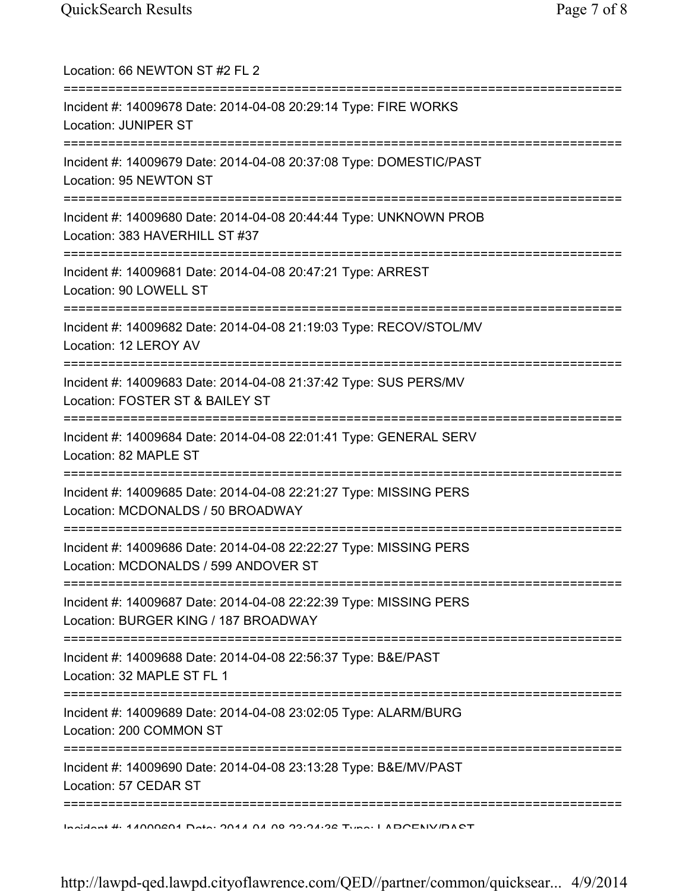| Location: 66 NEWTON ST #2 FL 2                                                                                               |
|------------------------------------------------------------------------------------------------------------------------------|
| Incident #: 14009678 Date: 2014-04-08 20:29:14 Type: FIRE WORKS<br><b>Location: JUNIPER ST</b>                               |
| Incident #: 14009679 Date: 2014-04-08 20:37:08 Type: DOMESTIC/PAST<br>Location: 95 NEWTON ST                                 |
| Incident #: 14009680 Date: 2014-04-08 20:44:44 Type: UNKNOWN PROB<br>Location: 383 HAVERHILL ST #37                          |
| Incident #: 14009681 Date: 2014-04-08 20:47:21 Type: ARREST<br>Location: 90 LOWELL ST<br>=================================== |
| Incident #: 14009682 Date: 2014-04-08 21:19:03 Type: RECOV/STOL/MV<br>Location: 12 LEROY AV<br>==========================    |
| Incident #: 14009683 Date: 2014-04-08 21:37:42 Type: SUS PERS/MV<br>Location: FOSTER ST & BAILEY ST<br>:========             |
| Incident #: 14009684 Date: 2014-04-08 22:01:41 Type: GENERAL SERV<br>Location: 82 MAPLE ST                                   |
| Incident #: 14009685 Date: 2014-04-08 22:21:27 Type: MISSING PERS<br>Location: MCDONALDS / 50 BROADWAY                       |
| Incident #: 14009686 Date: 2014-04-08 22:22:27 Type: MISSING PERS<br>Location: MCDONALDS / 599 ANDOVER ST                    |
| Incident #: 14009687 Date: 2014-04-08 22:22:39 Type: MISSING PERS<br>Location: BURGER KING / 187 BROADWAY                    |
| Incident #: 14009688 Date: 2014-04-08 22:56:37 Type: B&E/PAST<br>Location: 32 MAPLE ST FL 1                                  |
| Incident #: 14009689 Date: 2014-04-08 23:02:05 Type: ALARM/BURG<br>Location: 200 COMMON ST                                   |
| ============<br>Incident #: 14009690 Date: 2014-04-08 23:13:28 Type: B&E/MV/PAST<br>Location: 57 CEDAR ST                    |
| Indident # 4 ANNACA4 Data: 204 A A A A O 2010 A-20 Tunn: I ADOENIVIDA OT                                                     |